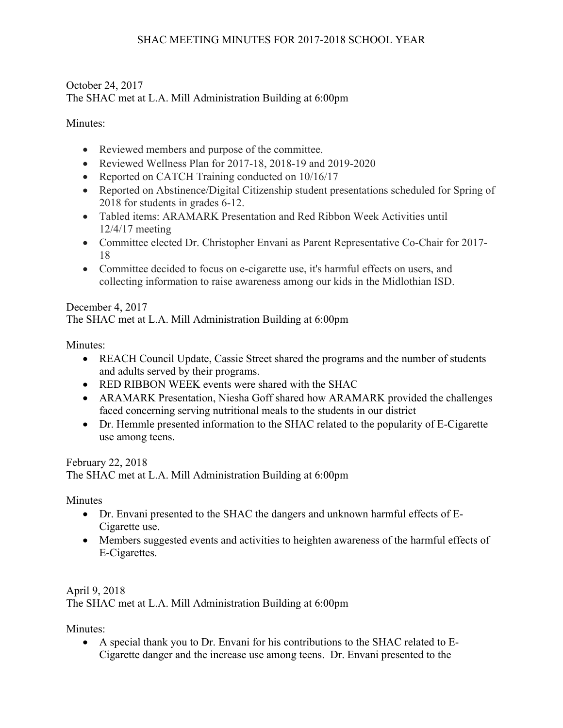## October 24, 2017 The SHAC met at L.A. Mill Administration Building at 6:00pm

## Minutes<sup>-</sup>

- Reviewed members and purpose of the committee.
- Reviewed Wellness Plan for 2017-18, 2018-19 and 2019-2020
- Reported on CATCH Training conducted on  $10/16/17$
- Reported on Abstinence/Digital Citizenship student presentations scheduled for Spring of 2018 for students in grades 6-12.
- Tabled items: ARAMARK Presentation and Red Ribbon Week Activities until 12/4/17 meeting
- Committee elected Dr. Christopher Envani as Parent Representative Co-Chair for 2017- 18
- Committee decided to focus on e-cigarette use, it's harmful effects on users, and collecting information to raise awareness among our kids in the Midlothian ISD.

## December 4, 2017

The SHAC met at L.A. Mill Administration Building at 6:00pm

Minutes:

- REACH Council Update, Cassie Street shared the programs and the number of students and adults served by their programs.
- RED RIBBON WEEK events were shared with the SHAC
- ARAMARK Presentation, Niesha Goff shared how ARAMARK provided the challenges faced concerning serving nutritional meals to the students in our district
- Dr. Hemmle presented information to the SHAC related to the popularity of E-Cigarette use among teens.

February 22, 2018 The SHAC met at L.A. Mill Administration Building at 6:00pm

Minutes

- Dr. Envani presented to the SHAC the dangers and unknown harmful effects of E-Cigarette use.
- Members suggested events and activities to heighten awareness of the harmful effects of E-Cigarettes.

April 9, 2018 The SHAC met at L.A. Mill Administration Building at 6:00pm

Minutes<sup>-</sup>

• A special thank you to Dr. Envani for his contributions to the SHAC related to E-Cigarette danger and the increase use among teens. Dr. Envani presented to the